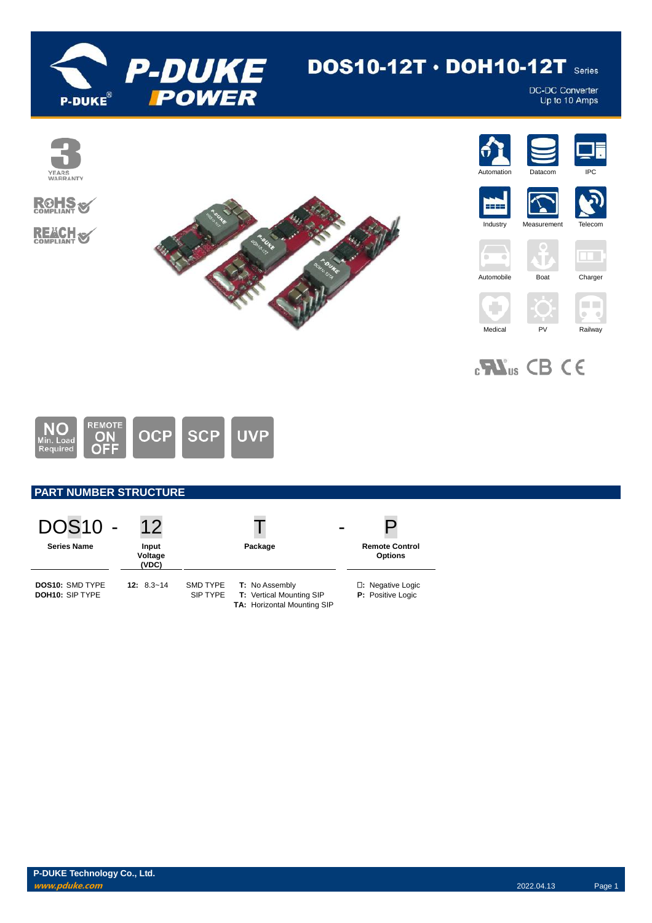

# $DOS10-12T \cdot DOH10-12T$  series

DC-DC Converter<br>Up to 10 Amps



 $_{c}$ <sub>M</sub> $_{us}$  CB CE



# **PART NUMBER STRUCTURE**

| <b>DOS10 -</b><br><b>Series Name</b>      | $12 \overline{)}$<br>Input<br>Voltage<br>(VDC) | Package                                                                                                                | -<br><b>Remote Control</b><br><b>Options</b> |
|-------------------------------------------|------------------------------------------------|------------------------------------------------------------------------------------------------------------------------|----------------------------------------------|
| <b>DOS10: SMD TYPE</b><br>DOH10: SIP TYPE | $12: 8.3 - 14$                                 | <b>SMD TYPE</b><br><b>T:</b> No Assembly<br>SIP TYPE<br><b>T:</b> Vertical Mounting SIP<br>TA: Horizontal Mounting SIP | □: Negative Logic<br>P: Positive Logic       |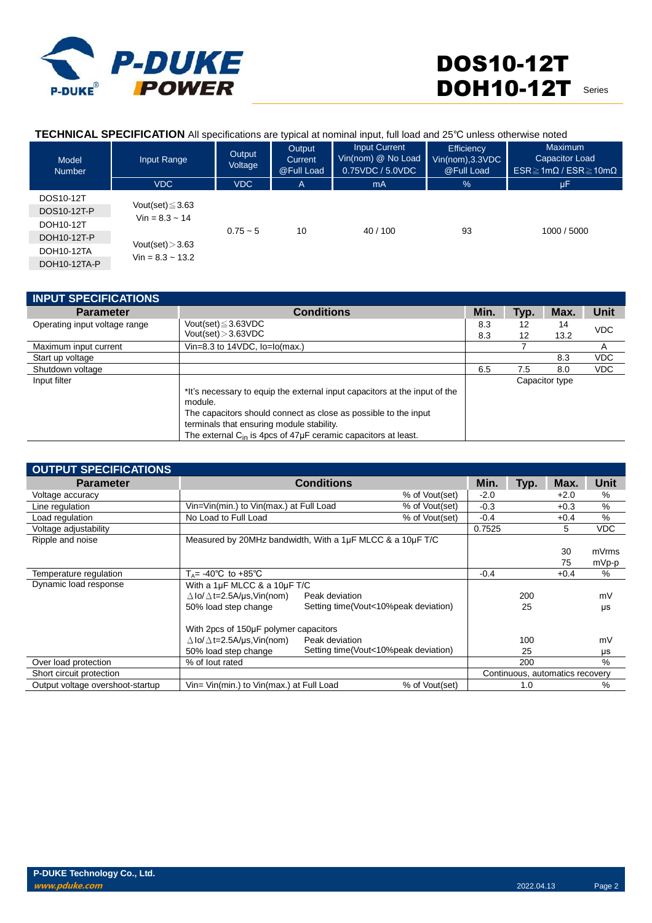

## **TECHNICAL SPECIFICATION** All specifications are typical at nominal input, full load and 25℃ unless otherwise noted

| Model<br><b>Number</b>   | Input Range                                 | Output<br>Voltage | Output<br>Current<br>@Full Load | <b>Input Current</b><br>Vin(nom) @ No Load<br>0.75VDC / 5.0VDC | Efficiency<br>Vin(nom), 3.3 VDC<br>@Full Load | <b>Maximum</b><br>Capacitor Load<br>$ESR \geq 1m\Omega$ / $ESR \geq 10m\Omega$ |
|--------------------------|---------------------------------------------|-------------------|---------------------------------|----------------------------------------------------------------|-----------------------------------------------|--------------------------------------------------------------------------------|
|                          | <b>VDC</b>                                  | <b>VDC</b>        | A                               | mA                                                             | $\frac{9}{6}$                                 | μF                                                                             |
| DOS10-12T<br>DOS10-12T-P | Vout(set) $\leq$ 3.63                       |                   |                                 |                                                                |                                               |                                                                                |
| DOH10-12T                | $Vin = 8.3 \sim 14$                         |                   |                                 |                                                                |                                               |                                                                                |
| DOH10-12T-P              |                                             | $0.75 - 5$        | 10                              | 40/100                                                         | 93                                            | 1000 / 5000                                                                    |
| DOH10-12TA               | Vout(set) $>$ 3.63<br>$Vin = 8.3 \sim 13.2$ |                   |                                 |                                                                |                                               |                                                                                |
| DOH10-12TA-P             |                                             |                   |                                 |                                                                |                                               |                                                                                |

| <b>INPUT SPECIFICATIONS</b>   |                                                                                                                                                                                                                                                                                    |      |      |                |             |
|-------------------------------|------------------------------------------------------------------------------------------------------------------------------------------------------------------------------------------------------------------------------------------------------------------------------------|------|------|----------------|-------------|
| <b>Parameter</b>              | <b>Conditions</b>                                                                                                                                                                                                                                                                  | Min. | Typ. | Max.           | <b>Unit</b> |
| Operating input voltage range | Vout(set) $\leq$ 3.63VDC<br>Vout(set) > 3.63VDC                                                                                                                                                                                                                                    | 8.3  | 12   | 14             | <b>VDC</b>  |
| Maximum input current         | Vin=8.3 to $14VDC$ , $Io = Io(max.)$                                                                                                                                                                                                                                               | 8.3  | 12   | 13.2           | A           |
| Start up voltage              |                                                                                                                                                                                                                                                                                    |      |      | 8.3            | <b>VDC</b>  |
| Shutdown voltage              |                                                                                                                                                                                                                                                                                    | 6.5  | 7.5  | 8.0            | <b>VDC</b>  |
| Input filter                  | *It's necessary to equip the external input capacitors at the input of the<br>module.<br>The capacitors should connect as close as possible to the input<br>terminals that ensuring module stability.<br>The external C <sub>in</sub> is 4pcs of 47µF ceramic capacitors at least. |      |      | Capacitor type |             |

| <b>OUTPUT SPECIFICATIONS</b>     |                                                           |                                      |                |        |      |                                 |       |
|----------------------------------|-----------------------------------------------------------|--------------------------------------|----------------|--------|------|---------------------------------|-------|
| <b>Parameter</b>                 |                                                           | <b>Conditions</b>                    |                | Min.   | Typ. | Max.                            | Unit  |
| Voltage accuracy                 |                                                           |                                      | % of Vout(set) | $-2.0$ |      | $+2.0$                          | %     |
| Line regulation                  | Vin=Vin(min.) to Vin(max.) at Full Load                   |                                      | % of Vout(set) | $-0.3$ |      | $+0.3$                          | %     |
| Load regulation                  | No Load to Full Load                                      |                                      | % of Vout(set) | $-0.4$ |      | $+0.4$                          | %     |
| Voltage adjustability            |                                                           |                                      |                | 0.7525 |      | 5                               | VDC   |
| Ripple and noise                 | Measured by 20MHz bandwidth, With a 1µF MLCC & a 10µF T/C |                                      |                |        |      |                                 |       |
|                                  |                                                           |                                      |                |        |      | 30                              | mVrms |
|                                  |                                                           |                                      |                |        |      | 75                              | mVp-p |
| Temperature regulation           | $T_A$ = -40°C to +85°C                                    |                                      |                | $-0.4$ |      | $+0.4$                          | %     |
| Dynamic load response            | With a 1µF MLCC & a 10µF T/C                              |                                      |                |        |      |                                 |       |
|                                  | $\Delta$ lo/ $\Delta$ t=2.5A/us,Vin(nom)                  | Peak deviation                       |                |        | 200  |                                 | mV    |
|                                  | 50% load step change                                      | Setting time(Vout<10%peak deviation) |                |        | 25   |                                 | μs    |
|                                  |                                                           |                                      |                |        |      |                                 |       |
|                                  | With 2pcs of 150µF polymer capacitors                     |                                      |                |        |      |                                 |       |
|                                  | $\Delta$ lo/ $\Delta$ t=2.5A/µs,Vin(nom)                  | Peak deviation                       |                |        | 100  |                                 | mV    |
|                                  | 50% load step change                                      | Setting time(Vout<10%peak deviation) |                |        | 25   |                                 | μs    |
| Over load protection             | % of lout rated                                           |                                      |                |        | 200  |                                 | $\%$  |
| Short circuit protection         |                                                           |                                      |                |        |      | Continuous, automatics recovery |       |
| Output voltage overshoot-startup | Vin= Vin(min.) to Vin(max.) at Full Load                  |                                      | % of Vout(set) |        | 1.0  |                                 | $\%$  |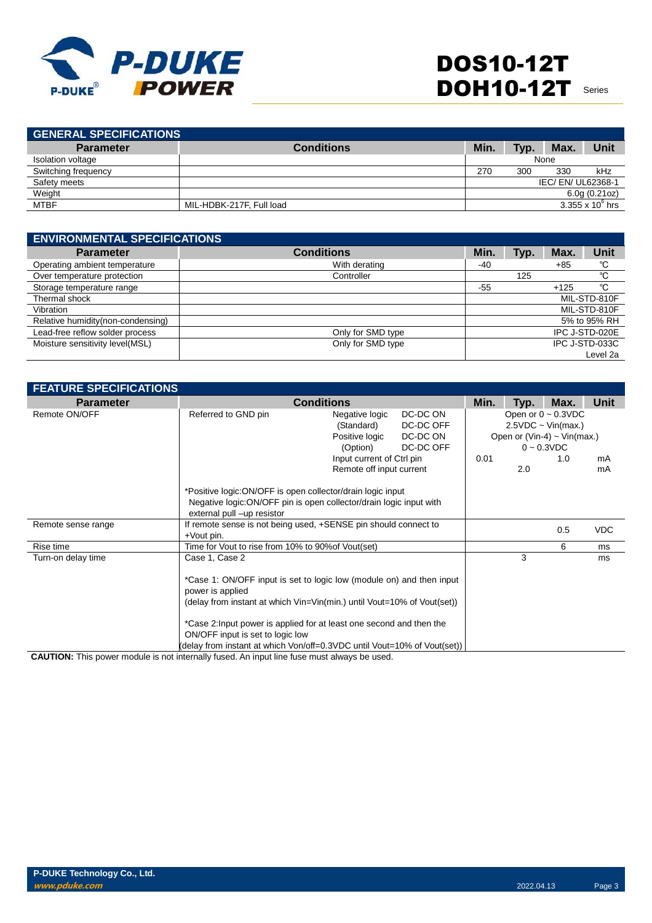

| <b>GENERAL SPECIFICATIONS</b> |                          |      |      |                  |                         |
|-------------------------------|--------------------------|------|------|------------------|-------------------------|
| <b>Parameter</b>              | <b>Conditions</b>        | Min. | Typ. | Max.             | Unit                    |
| Isolation voltage             |                          |      |      | None             |                         |
| Switching frequency           |                          | 270  | 300  | 330              | kHz                     |
| Safety meets                  |                          |      |      | IEC/EN/UL62368-1 |                         |
| Weight                        |                          |      |      |                  | 6.0g(0.21oz)            |
| <b>MTBF</b>                   | MIL-HDBK-217F, Full load |      |      |                  | $3.355 \times 10^6$ hrs |
|                               |                          |      |      |                  |                         |

| <b>ENVIRONMENTAL SPECIFICATIONS</b> |                   |       |      |        |                |  |  |
|-------------------------------------|-------------------|-------|------|--------|----------------|--|--|
| <b>Parameter</b>                    | <b>Conditions</b> | Min.  | Typ. | Max.   | Unit           |  |  |
| Operating ambient temperature       | With derating     | $-40$ |      | $+85$  | °C             |  |  |
| Over temperature protection         | Controller        |       | 125  |        | °C             |  |  |
| Storage temperature range           |                   | -55   |      | $+125$ | °C             |  |  |
| Thermal shock                       |                   |       |      |        | MIL-STD-810F   |  |  |
| Vibration                           |                   |       |      |        | MIL-STD-810F   |  |  |
| Relative humidity (non-condensing)  |                   |       |      |        | 5% to 95% RH   |  |  |
| Lead-free reflow solder process     | Only for SMD type |       |      |        | IPC J-STD-020E |  |  |
| Moisture sensitivity level(MSL)     | Only for SMD type |       |      |        | IPC J-STD-033C |  |  |
|                                     |                   |       |      |        | Level 2a       |  |  |

| <b>FEATURE SPECIFICATIONS</b> |                                                                                                                                                                 |                          |  |  |     |                           |            |                                                                                                                         |  |  |
|-------------------------------|-----------------------------------------------------------------------------------------------------------------------------------------------------------------|--------------------------|--|--|-----|---------------------------|------------|-------------------------------------------------------------------------------------------------------------------------|--|--|
| <b>Parameter</b>              |                                                                                                                                                                 | <b>Conditions</b>        |  |  |     | Max.                      | Unit       |                                                                                                                         |  |  |
| Remote ON/OFF                 | Referred to GND pin<br>DC-DC ON<br>Negative logic<br>(Standard)<br>DC-DC OFF<br>DC-DC ON<br>Positive logic<br>DC-DC OFF<br>(Option)                             |                          |  |  |     | Input current of Ctrl pin |            | Open or $0 \sim 0.3$ VDC<br>$2.5VDC \sim Vin(max.)$<br>Open or (Vin-4) $\sim$ Vin(max.)<br>$0 - 0.3$ VDC<br>0.01<br>1.0 |  |  |
|                               |                                                                                                                                                                 | Remote off input current |  |  | 2.0 |                           | mA<br>mA   |                                                                                                                         |  |  |
|                               | *Positive logic:ON/OFF is open collector/drain logic input<br>Negative logic: ON/OFF pin is open collector/drain logic input with<br>external pull -up resistor |                          |  |  |     |                           |            |                                                                                                                         |  |  |
| Remote sense range            | If remote sense is not being used, +SENSE pin should connect to<br>+Vout pin.                                                                                   |                          |  |  |     | 0.5                       | <b>VDC</b> |                                                                                                                         |  |  |
| Rise time                     | Time for Vout to rise from 10% to 90% of Vout (set)                                                                                                             |                          |  |  |     | 6                         | ms         |                                                                                                                         |  |  |
| Turn-on delay time            | Case 1, Case 2                                                                                                                                                  |                          |  |  | 3   |                           | ms         |                                                                                                                         |  |  |
|                               | *Case 1: ON/OFF input is set to logic low (module on) and then input<br>power is applied                                                                        |                          |  |  |     |                           |            |                                                                                                                         |  |  |
|                               | (delay from instant at which Vin=Vin(min.) until Vout=10% of Vout(set))                                                                                         |                          |  |  |     |                           |            |                                                                                                                         |  |  |
|                               | *Case 2: Input power is applied for at least one second and then the<br>ON/OFF input is set to logic low                                                        |                          |  |  |     |                           |            |                                                                                                                         |  |  |
|                               | (delay from instant at which Von/off=0.3VDC until Vout=10% of Vout(set))                                                                                        |                          |  |  |     |                           |            |                                                                                                                         |  |  |

**CAUTION:** This power module is not internally fused. An input line fuse must always be used.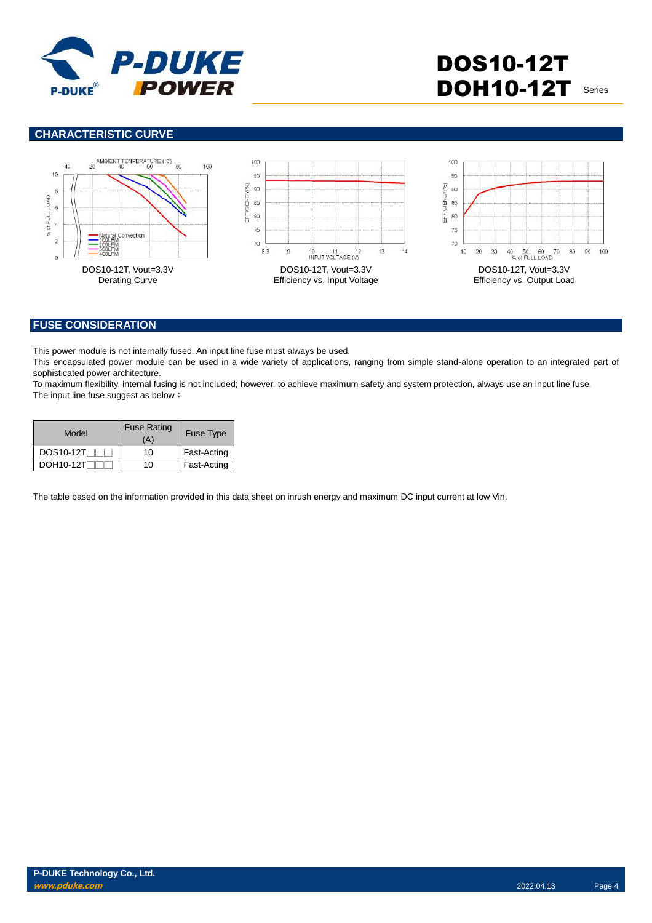

# **CHARACTERISTIC CURVE**



#### **FUSE CONSIDERATION**

This power module is not internally fused. An input line fuse must always be used.

This encapsulated power module can be used in a wide variety of applications, ranging from simple stand-alone operation to an integrated part of sophisticated power architecture.

To maximum flexibility, internal fusing is not included; however, to achieve maximum safety and system protection, always use an input line fuse. The input line fuse suggest as below:

| Model            | <b>Fuse Rating</b><br>(A) | <b>Fuse Type</b> |  |
|------------------|---------------------------|------------------|--|
| <b>DOS10-12T</b> | 10                        | Fast-Acting      |  |
| DOH10-12T        | 10                        | Fast-Acting      |  |

The table based on the information provided in this data sheet on inrush energy and maximum DC input current at low Vin.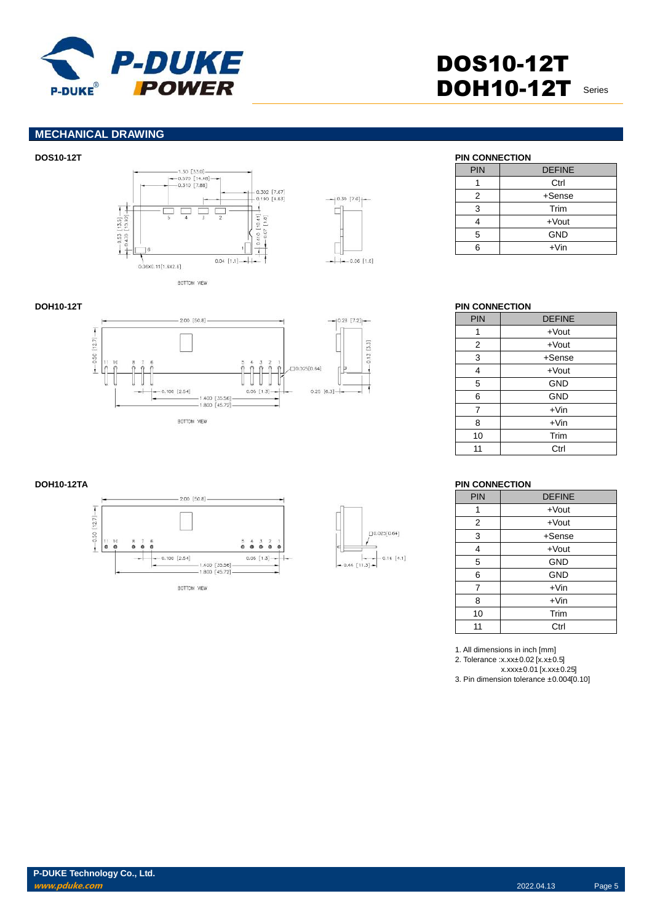

## **MECHANICAL DRAWING**





| <b>PIN</b> | <b>DEFINE</b> |
|------------|---------------|
|            | Ctrl          |
| 2          | +Sense        |
| 3          | Trim          |
|            | $+$ Vout      |
| 5          | <b>GND</b>    |
|            | $+V$ in       |

# **DOH10-12T PIN CONNECTION**

| PIN | <b>DEFINE</b> |
|-----|---------------|
| 1   | $+$ Vout      |
| 2   | $+$ Vout      |
| 3   | $+$ Sense     |
| 4   | $+$ Vout      |
| 5   | <b>GND</b>    |
| 6   | <b>GND</b>    |
| 7   | $+V$ in       |
| 8   | $+V$ in       |
| 10  | Trim          |
| 11  | Ctrl          |

#### **DOH10-12TA PIN CONNECTION**

| <b>PIN</b> | <b>DEFINE</b> |
|------------|---------------|
| 1          | $+$ Vout      |
| 2          | $+$ Vout      |
| 3          | $+$ Sense     |
| 4          | $+$ Vout      |
| 5          | <b>GND</b>    |
| 6          | <b>GND</b>    |
| 7          | $+V$ in       |
| 8          | $+V$ in       |
| 10         | Trim          |
| 11         | Ctrl          |

1. All dimensions in inch [mm] 2. Tolerance :x.xx±0.02 [x.x±0.5] x.xxx±0.01 [x.xx±0.25] 3. Pin dimension tolerance ±0.004[0.10]





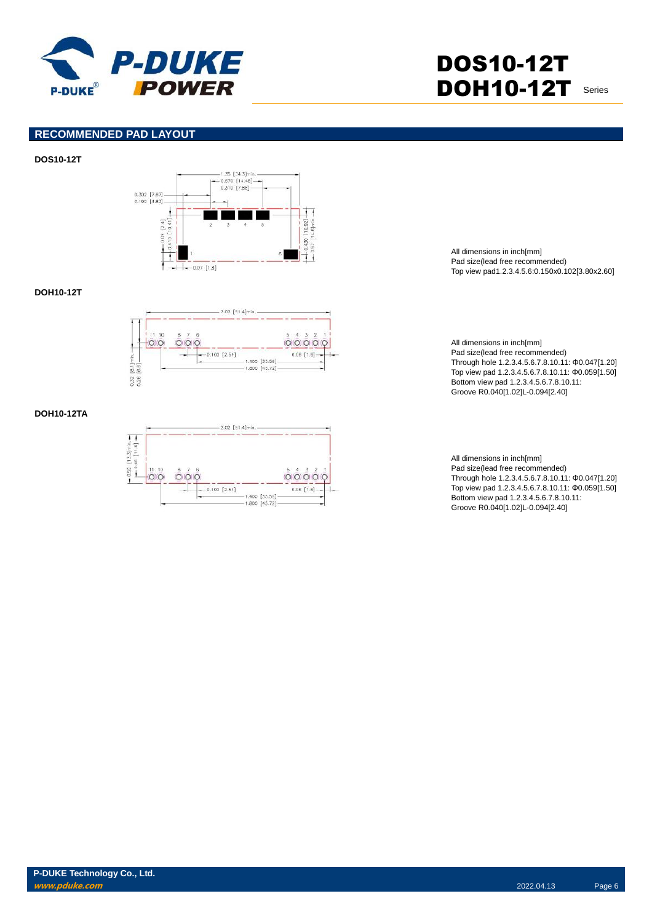

## **RECOMMENDED PAD LAYOUT**

#### **DOS10-12T**



#### **DOH10-12T**



### **DOH10-12TA**



All dimensions in inch[mm] Pad size(lead free recommended) Top view pad1.2.3.4.5.6:0.150x0.102[3.80x2.60]

All dimensions in inch[mm] Pad size(lead free recommended) Through hole 1.2.3.4.5.6.7.8.10.11: Φ0.047[1.20] Top view pad 1.2.3.4.5.6.7.8.10.11: Φ0.059[1.50] Bottom view pad 1.2.3.4.5.6.7.8.10.11: Groove R0.040[1.02]L-0.094[2.40]

All dimensions in inch[mm] Pad size(lead free recommended) Through hole 1.2.3.4.5.6.7.8.10.11: Φ0.047[1.20] Top view pad 1.2.3.4.5.6.7.8.10.11: Φ0.059[1.50] Bottom view pad 1.2.3.4.5.6.7.8.10.11: Groove R0.040[1.02]L-0.094[2.40]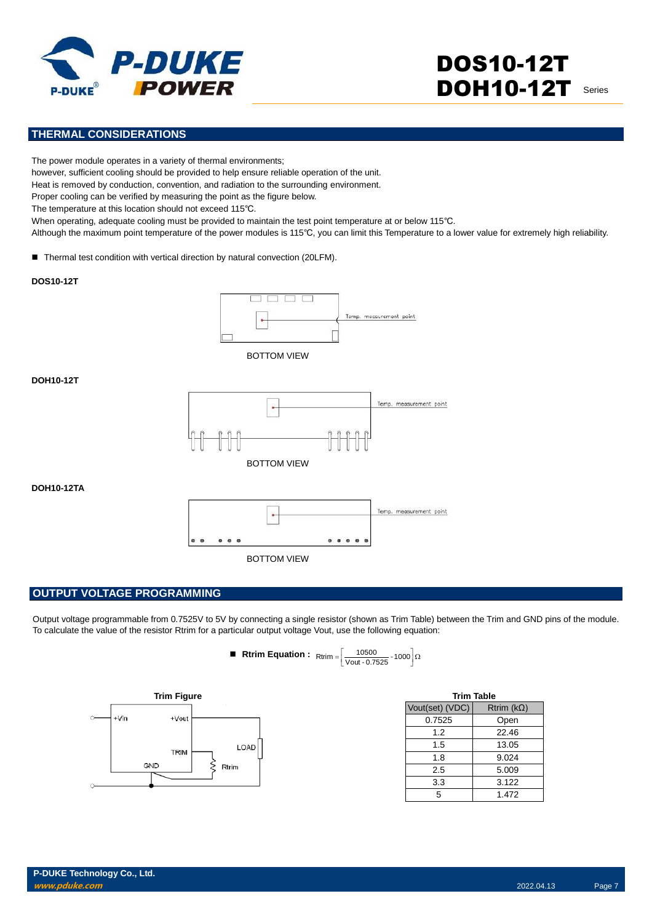

# **THERMAL CONSIDERATIONS**

The power module operates in a variety of thermal environments;

however, sufficient cooling should be provided to help ensure reliable operation of the unit.

Heat is removed by conduction, convention, and radiation to the surrounding environment.

Proper cooling can be verified by measuring the point as the figure below.

The temperature at this location should not exceed 115℃.

When operating, adequate cooling must be provided to maintain the test point temperature at or below 115℃.

Although the maximum point temperature of the power modules is 115℃, you can limit this Temperature to a lower value for extremely high reliability.

■ Thermal test condition with vertical direction by natural convection (20LFM).

#### **DOS10-12T**



BOTTOM VIEW

## **DOH10-12T**



**DOH10-12TA**



## **OUTPUT VOLTAGE PROGRAMMING**

Output voltage programmable from 0.7525V to 5V by connecting a single resistor (shown as Trim Table) between the Trim and GND pins of the module. To calculate the value of the resistor Rtrim for a particular output voltage Vout, use the following equation:

| ■ Rtrim Equation : $R_{\text{trim}} = \left[\frac{10500}{\text{Vout} \cdot 0.7525} \cdot 1000\right] \Omega$ |  |  |
|--------------------------------------------------------------------------------------------------------------|--|--|
|                                                                                                              |  |  |



| <b>Trim Table</b> |                   |
|-------------------|-------------------|
| Vout(set) (VDC)   | Rtrim $(k\Omega)$ |
| 0.7525            | Open              |
| 1.2               | 22.46             |
| 1.5               | 13.05             |
| 1.8               | 9.024             |
| 2.5               | 5.009             |
| 3.3               | 3.122             |
| 5                 | 1.472             |